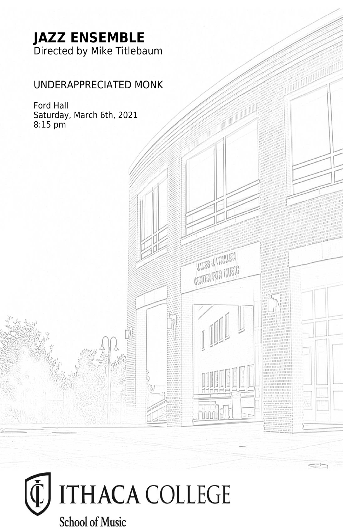## **JAZZ ENSEMBLE** Directed by Mike Titlebaum

### UNDERAPPRECIATED MONK

 $-1$ 

**THE SUMMER CATER FOR CRUSIC** 

Thurl

Ford Hall Saturday, March 6th, 2021 8:15 pm

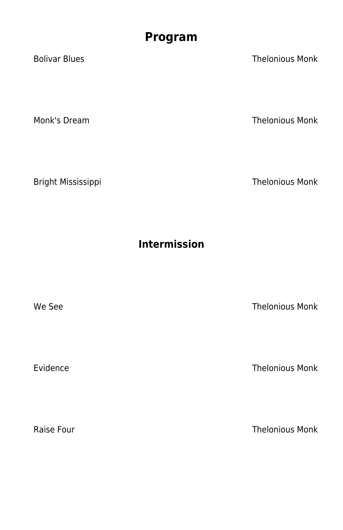# **Program**

Bolivar Blues Thelonious Monk

Monk's Dream Thelonious Monk

Bright Mississippi Thelonious Monk

**Intermission**

We See Thelonious Monk

Evidence **Thelonious Monk** 

Raise Four **Thelonious Monk**